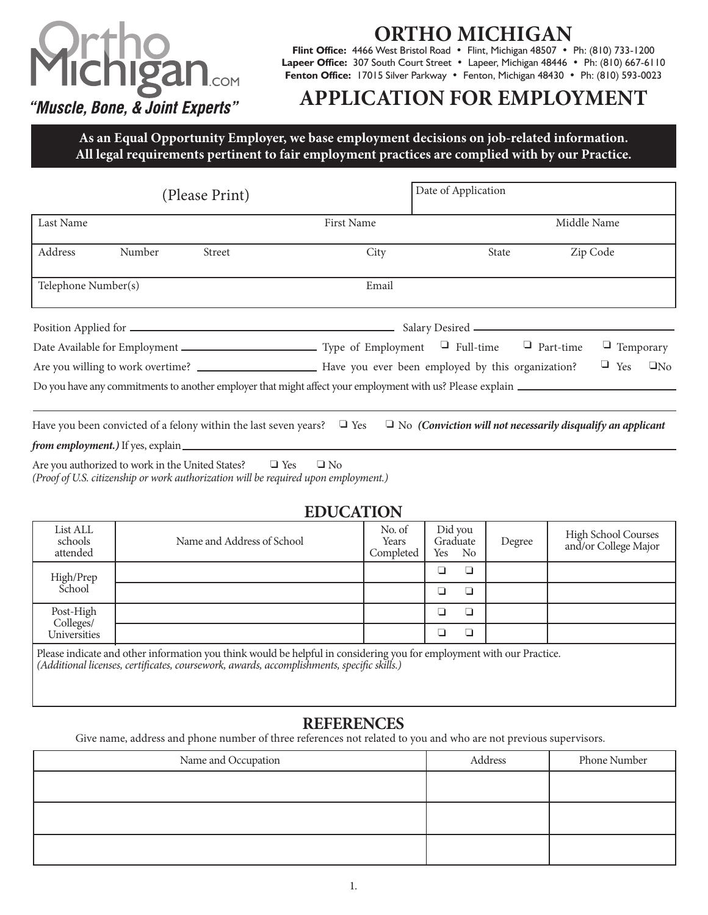# COM "Muscle, Bone, & Joint Experts"

## **HO MICHI**G

**Flint Office:** 4466 West Bristol Road • Flint, Michigan 48507 • Ph: (810) 733-1200 Lapeer Office: 307 South Court Street • Lapeer, Michigan 48446 • Ph: (810) 667-6110 **Fenton Office:** 17015 Silver Parkway • Fenton, Michigan 48430 • Ph: (810) 593-0023

## **APPLICATION FOR EMPLOYMENT**

**As an Equal Opportunity Employer, we base employment decisions on job-related information. All legal requirements pertinent to fair employment practices are complied with by our Practice.**

| (Please Print)      |        |        | Date of Application |       |             |                         |
|---------------------|--------|--------|---------------------|-------|-------------|-------------------------|
| Last Name           |        |        | <b>First Name</b>   |       | Middle Name |                         |
| Address             | Number | Street | City                | State |             | Zip Code                |
| Telephone Number(s) |        |        | Email               |       |             |                         |
|                     |        |        |                     |       |             |                         |
|                     |        |        |                     |       |             | $\Box$ Temporary        |
|                     |        |        |                     |       |             | $\Box$ Yes<br>$\Box$ No |
|                     |        |        |                     |       |             |                         |

Have you been convicted of a felony within the last seven years?  $\Box$  Yes  $\Box$  No *(Conviction will not necessarily disqualify an applicant from employment.)* If yes, explain

 $\Box$  Yes  $\Box$  No Are you authorized to work in the United States? *(Proof of U.S. citizenship or work authorization will be required upon employment.)*

### **EDUCATION**

| List ALL<br>schools<br>attended                                                                                                                                                                                  | Name and Address of School | No. of<br>Years<br>Completed | Did you<br>Graduate<br>Yes No | Degree | High School Courses<br>and/or College Major |
|------------------------------------------------------------------------------------------------------------------------------------------------------------------------------------------------------------------|----------------------------|------------------------------|-------------------------------|--------|---------------------------------------------|
| High/Prep<br>School                                                                                                                                                                                              |                            |                              |                               |        |                                             |
|                                                                                                                                                                                                                  |                            |                              |                               |        |                                             |
| Post-High<br>Colleges/<br><b>Universities</b>                                                                                                                                                                    |                            |                              |                               |        |                                             |
|                                                                                                                                                                                                                  |                            |                              |                               |        |                                             |
| Please indicate and other information you think would be helpful in considering you for employment with our Practice. (Additional licenses, certificates, coursework, awards, accomplishments, specific skills.) |                            |                              |                               |        |                                             |

#### **REFERENCES**

Give name, address and phone number of three references not related to you and who are not previous supervisors.

| Name and Occupation | Address | Phone Number |
|---------------------|---------|--------------|
|                     |         |              |
|                     |         |              |
|                     |         |              |
|                     |         |              |